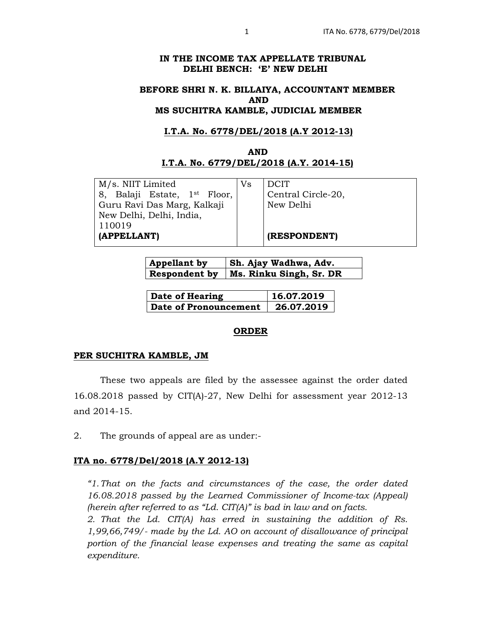## **IN THE INCOME TAX APPELLATE TRIBUNAL DELHI BENCH: 'E' NEW DELHI**

## **BEFORE SHRI N. K. BILLAIYA, ACCOUNTANT MEMBER AND MS SUCHITRA KAMBLE, JUDICIAL MEMBER**

## **I.T.A. No. 6778/DEL/2018 (A.Y 2012-13)**

# **AND I.T.A. No. 6779/DEL/2018 (A.Y. 2014-15)**

M/s. NIIT Limited 8, Balaji Estate, 1st Floor, Guru Ravi Das Marg, Kalkaji New Delhi, Delhi, India, 110019 **(APPELLANT)** 

Vs DCIT Central Circle-20, New Delhi

**(RESPONDENT)** 

| <b>Appellant by</b> | <b>Sh. Ajay Wadhwa, Adv.</b> |
|---------------------|------------------------------|
| Respondent by       | Ms. Rinku Singh, Sr. DR      |

| Date of Hearing       | 16.07.2019 |
|-----------------------|------------|
| Date of Pronouncement | 26.07.2019 |

### **ORDER**

### **PER SUCHITRA KAMBLE, JM**

These two appeals are filed by the assessee against the order dated 16.08.2018 passed by CIT(A)-27, New Delhi for assessment year 2012-13 and 2014-15.

2. The grounds of appeal are as under:-

### **ITA no. 6778/Del/2018 (A.Y 2012-13)**

*"1. That on the facts and circumstances of the case, the order dated 16.08.2018 passed by the Learned Commissioner of Income-tax (Appeal) (herein after referred to as "Ld. CIT(A)" is bad in law and on facts.* 

*2. That the Ld. CIT(A) has erred in sustaining the addition of Rs. 1,99,66,749/- made by the Ld. AO on account of disallowance of principal portion of the financial lease expenses and treating the same as capital expenditure.*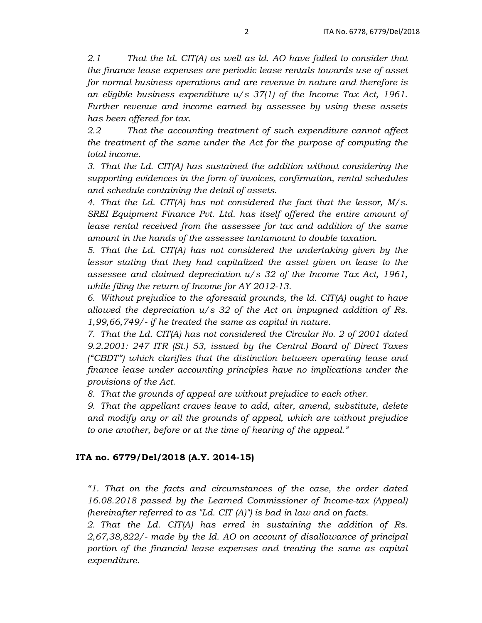*2.1 That the ld. CIT(A) as well as ld. AO have failed to consider that the finance lease expenses are periodic lease rentals towards use of asset for normal business operations and are revenue in nature and therefore is an eligible business expenditure u/s 37(1) of the Income Tax Act, 1961. Further revenue and income earned by assessee by using these assets has been offered for tax.* 

*2.2 That the accounting treatment of such expenditure cannot affect the treatment of the same under the Act for the purpose of computing the total income.* 

*3. That the Ld. CIT(A) has sustained the addition without considering the supporting evidences in the form of invoices, confirmation, rental schedules and schedule containing the detail of assets.* 

*4. That the Ld. CIT(A) has not considered the fact that the lessor, M/s. SREI Equipment Finance Pvt. Ltd. has itself offered the entire amount of lease rental received from the assessee for tax and addition of the same amount in the hands of the assessee tantamount to double taxation.* 

*5. That the Ld. CIT(A) has not considered the undertaking given by the lessor stating that they had capitalized the asset given on lease to the assessee and claimed depreciation u/s 32 of the Income Tax Act, 1961, while filing the return of Income for AY 2012-13.* 

*6. Without prejudice to the aforesaid grounds, the ld. CIT(A) ought to have allowed the depreciation u/s 32 of the Act on impugned addition of Rs. 1,99,66,749/- if he treated the same as capital in nature.* 

*7. That the Ld. CIT(A) has not considered the Circular No. 2 of 2001 dated 9.2.2001: 247 ITR (St.) 53, issued by the Central Board of Direct Taxes ("CBDT") which clarifies that the distinction between operating lease and finance lease under accounting principles have no implications under the provisions of the Act.* 

*8. That the grounds of appeal are without prejudice to each other.* 

*9. That the appellant craves leave to add, alter, amend, substitute, delete and modify any or all the grounds of appeal, which are without prejudice to one another, before or at the time of hearing of the appeal."* 

## **ITA no. 6779/Del/2018 (A.Y. 2014-15)**

*"1. That on the facts and circumstances of the case, the order dated 16.08.2018 passed by the Learned Commissioner of Income-tax (Appeal) (hereinafter referred to as "Ld. CIT (A)") is bad in law and on facts.* 

*2. That the Ld. CIT(A) has erred in sustaining the addition of Rs. 2,67,38,822/- made by the Id. AO on account of disallowance of principal portion of the financial lease expenses and treating the same as capital expenditure.*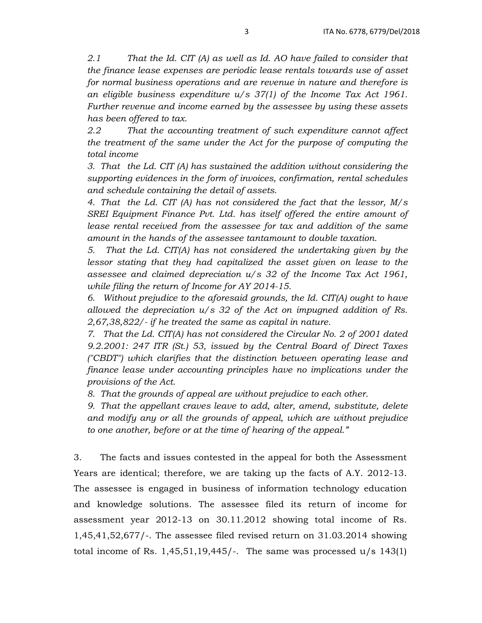*2.1 That the Id. CIT (A) as well as Id. AO have failed to consider that the finance lease expenses are periodic lease rentals towards use of asset for normal business operations and are revenue in nature and therefore is an eligible business expenditure u/s 37(1) of the Income Tax Act 1961. Further revenue and income earned by the assessee by using these assets has been offered to tax.* 

*2.2 That the accounting treatment of such expenditure cannot affect the treatment of the same under the Act for the purpose of computing the total income* 

*3. That the Ld. CIT (A) has sustained the addition without considering the supporting evidences in the form of invoices, confirmation, rental schedules and schedule containing the detail of assets.* 

*4. That the Ld. CIT (A) has not considered the fact that the lessor, M/s SREI Equipment Finance Pvt. Ltd. has itself offered the entire amount of lease rental received from the assessee for tax and addition of the same amount in the hands of the assessee tantamount to double taxation.* 

*5. That the Ld. CIT(A) has not considered the undertaking given by the lessor stating that they had capitalized the asset given on lease to the assessee and claimed depreciation u/s 32 of the Income Tax Act 1961, while filing the return of Income for AY 2014-15.* 

*6. Without prejudice to the aforesaid grounds, the Id. CIT(A) ought to have allowed the depreciation u/s 32 of the Act on impugned addition of Rs. 2,67,38,822/- if he treated the same as capital in nature.* 

*7. That the Ld. CIT(A) has not considered the Circular No. 2 of 2001 dated 9.2.2001: 247 ITR (St.) 53, issued by the Central Board of Direct Taxes ("CBDT") which clarifies that the distinction between operating lease and finance lease under accounting principles have no implications under the provisions of the Act.* 

*8. That the grounds of appeal are without prejudice to each other.* 

*9. That the appellant craves leave to add, alter, amend, substitute, delete and modify any or all the grounds of appeal, which are without prejudice to one another, before or at the time of hearing of the appeal."* 

3. The facts and issues contested in the appeal for both the Assessment Years are identical; therefore, we are taking up the facts of A.Y. 2012-13. The assessee is engaged in business of information technology education and knowledge solutions. The assessee filed its return of income for assessment year 2012-13 on 30.11.2012 showing total income of Rs. 1,45,41,52,677/-. The assessee filed revised return on 31.03.2014 showing total income of Rs.  $1,45,51,19,445/$ . The same was processed  $u/s$  143(1)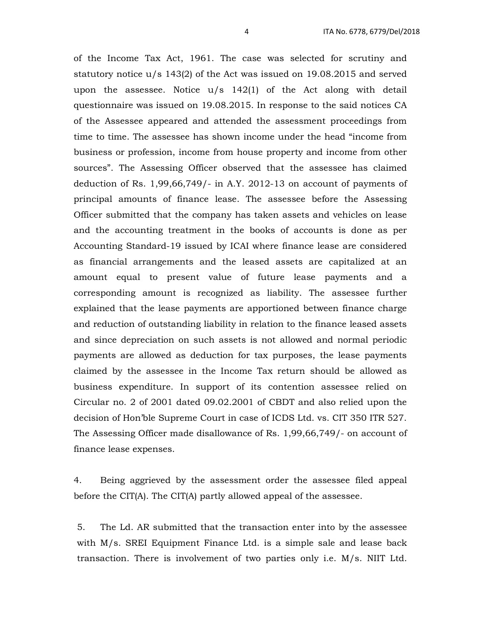of the Income Tax Act, 1961. The case was selected for scrutiny and statutory notice  $u/s$  143(2) of the Act was issued on 19.08.2015 and served upon the assessee. Notice u/s 142(1) of the Act along with detail questionnaire was issued on 19.08.2015. In response to the said notices CA of the Assessee appeared and attended the assessment proceedings from time to time. The assessee has shown income under the head "income from business or profession, income from house property and income from other sources". The Assessing Officer observed that the assessee has claimed deduction of Rs. 1,99,66,749/- in A.Y. 2012-13 on account of payments of principal amounts of finance lease. The assessee before the Assessing Officer submitted that the company has taken assets and vehicles on lease and the accounting treatment in the books of accounts is done as per Accounting Standard-19 issued by ICAI where finance lease are considered as financial arrangements and the leased assets are capitalized at an amount equal to present value of future lease payments and a corresponding amount is recognized as liability. The assessee further explained that the lease payments are apportioned between finance charge and reduction of outstanding liability in relation to the finance leased assets and since depreciation on such assets is not allowed and normal periodic payments are allowed as deduction for tax purposes, the lease payments claimed by the assessee in the Income Tax return should be allowed as business expenditure. In support of its contention assessee relied on Circular no. 2 of 2001 dated 09.02.2001 of CBDT and also relied upon the decision of Hon'ble Supreme Court in case of ICDS Ltd. vs. CIT 350 ITR 527. The Assessing Officer made disallowance of Rs. 1,99,66,749/- on account of finance lease expenses.

4. Being aggrieved by the assessment order the assessee filed appeal before the CIT(A). The CIT(A) partly allowed appeal of the assessee.

5. The Ld. AR submitted that the transaction enter into by the assessee with M/s. SREI Equipment Finance Ltd. is a simple sale and lease back transaction. There is involvement of two parties only i.e. M/s. NIIT Ltd.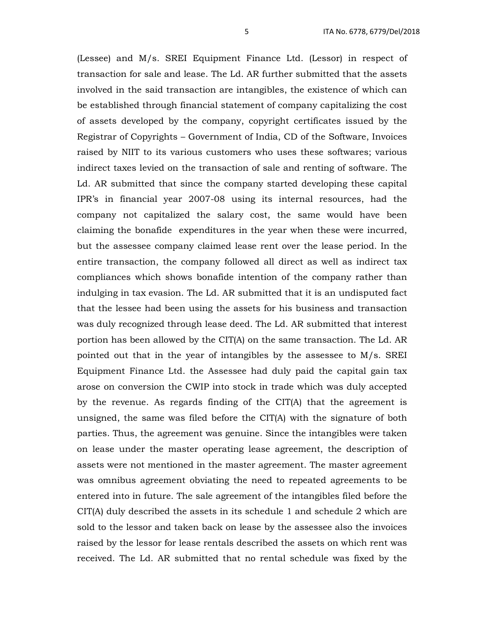(Lessee) and M/s. SREI Equipment Finance Ltd. (Lessor) in respect of transaction for sale and lease. The Ld. AR further submitted that the assets involved in the said transaction are intangibles, the existence of which can be established through financial statement of company capitalizing the cost of assets developed by the company, copyright certificates issued by the Registrar of Copyrights – Government of India, CD of the Software, Invoices raised by NIIT to its various customers who uses these softwares; various indirect taxes levied on the transaction of sale and renting of software. The Ld. AR submitted that since the company started developing these capital IPR's in financial year 2007-08 using its internal resources, had the company not capitalized the salary cost, the same would have been claiming the bonafide expenditures in the year when these were incurred, but the assessee company claimed lease rent over the lease period. In the entire transaction, the company followed all direct as well as indirect tax compliances which shows bonafide intention of the company rather than indulging in tax evasion. The Ld. AR submitted that it is an undisputed fact that the lessee had been using the assets for his business and transaction was duly recognized through lease deed. The Ld. AR submitted that interest portion has been allowed by the CIT(A) on the same transaction. The Ld. AR pointed out that in the year of intangibles by the assessee to M/s. SREI Equipment Finance Ltd. the Assessee had duly paid the capital gain tax arose on conversion the CWIP into stock in trade which was duly accepted by the revenue. As regards finding of the CIT(A) that the agreement is unsigned, the same was filed before the CIT(A) with the signature of both parties. Thus, the agreement was genuine. Since the intangibles were taken on lease under the master operating lease agreement, the description of assets were not mentioned in the master agreement. The master agreement was omnibus agreement obviating the need to repeated agreements to be entered into in future. The sale agreement of the intangibles filed before the CIT(A) duly described the assets in its schedule 1 and schedule 2 which are sold to the lessor and taken back on lease by the assessee also the invoices raised by the lessor for lease rentals described the assets on which rent was received. The Ld. AR submitted that no rental schedule was fixed by the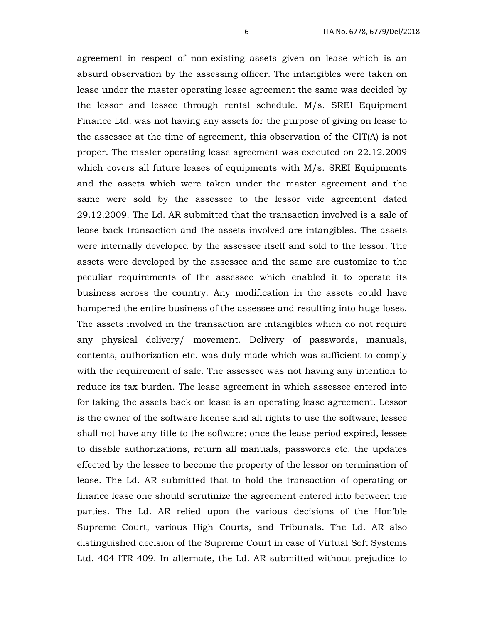agreement in respect of non-existing assets given on lease which is an absurd observation by the assessing officer. The intangibles were taken on lease under the master operating lease agreement the same was decided by the lessor and lessee through rental schedule. M/s. SREI Equipment Finance Ltd. was not having any assets for the purpose of giving on lease to the assessee at the time of agreement, this observation of the CIT(A) is not proper. The master operating lease agreement was executed on 22.12.2009 which covers all future leases of equipments with M/s. SREI Equipments and the assets which were taken under the master agreement and the same were sold by the assessee to the lessor vide agreement dated 29.12.2009. The Ld. AR submitted that the transaction involved is a sale of lease back transaction and the assets involved are intangibles. The assets were internally developed by the assessee itself and sold to the lessor. The assets were developed by the assessee and the same are customize to the peculiar requirements of the assessee which enabled it to operate its business across the country. Any modification in the assets could have hampered the entire business of the assessee and resulting into huge loses. The assets involved in the transaction are intangibles which do not require any physical delivery/ movement. Delivery of passwords, manuals, contents, authorization etc. was duly made which was sufficient to comply with the requirement of sale. The assessee was not having any intention to reduce its tax burden. The lease agreement in which assessee entered into for taking the assets back on lease is an operating lease agreement. Lessor is the owner of the software license and all rights to use the software; lessee shall not have any title to the software; once the lease period expired, lessee to disable authorizations, return all manuals, passwords etc. the updates effected by the lessee to become the property of the lessor on termination of lease. The Ld. AR submitted that to hold the transaction of operating or finance lease one should scrutinize the agreement entered into between the parties. The Ld. AR relied upon the various decisions of the Hon'ble Supreme Court, various High Courts, and Tribunals. The Ld. AR also distinguished decision of the Supreme Court in case of Virtual Soft Systems Ltd. 404 ITR 409. In alternate, the Ld. AR submitted without prejudice to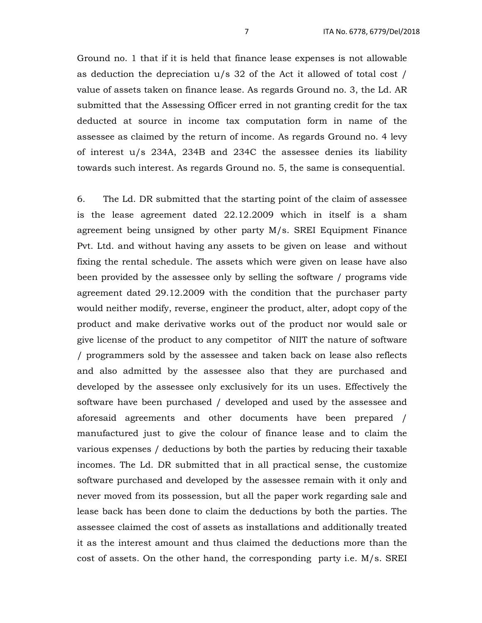Ground no. 1 that if it is held that finance lease expenses is not allowable as deduction the depreciation u/s 32 of the Act it allowed of total cost / value of assets taken on finance lease. As regards Ground no. 3, the Ld. AR submitted that the Assessing Officer erred in not granting credit for the tax deducted at source in income tax computation form in name of the assessee as claimed by the return of income. As regards Ground no. 4 levy of interest u/s 234A, 234B and 234C the assessee denies its liability towards such interest. As regards Ground no. 5, the same is consequential.

6. The Ld. DR submitted that the starting point of the claim of assessee is the lease agreement dated 22.12.2009 which in itself is a sham agreement being unsigned by other party M/s. SREI Equipment Finance Pvt. Ltd. and without having any assets to be given on lease and without fixing the rental schedule. The assets which were given on lease have also been provided by the assessee only by selling the software / programs vide agreement dated 29.12.2009 with the condition that the purchaser party would neither modify, reverse, engineer the product, alter, adopt copy of the product and make derivative works out of the product nor would sale or give license of the product to any competitor of NIIT the nature of software / programmers sold by the assessee and taken back on lease also reflects and also admitted by the assessee also that they are purchased and developed by the assessee only exclusively for its un uses. Effectively the software have been purchased / developed and used by the assessee and aforesaid agreements and other documents have been prepared / manufactured just to give the colour of finance lease and to claim the various expenses / deductions by both the parties by reducing their taxable incomes. The Ld. DR submitted that in all practical sense, the customize software purchased and developed by the assessee remain with it only and never moved from its possession, but all the paper work regarding sale and lease back has been done to claim the deductions by both the parties. The assessee claimed the cost of assets as installations and additionally treated it as the interest amount and thus claimed the deductions more than the cost of assets. On the other hand, the corresponding party i.e. M/s. SREI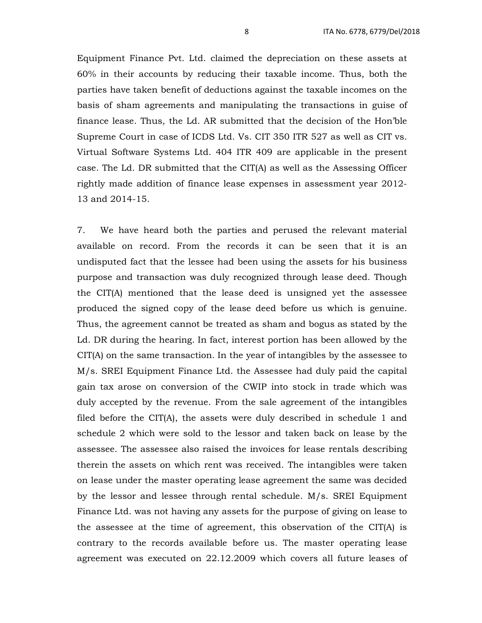Equipment Finance Pvt. Ltd. claimed the depreciation on these assets at 60% in their accounts by reducing their taxable income. Thus, both the parties have taken benefit of deductions against the taxable incomes on the basis of sham agreements and manipulating the transactions in guise of finance lease. Thus, the Ld. AR submitted that the decision of the Hon'ble Supreme Court in case of ICDS Ltd. Vs. CIT 350 ITR 527 as well as CIT vs. Virtual Software Systems Ltd. 404 ITR 409 are applicable in the present case. The Ld. DR submitted that the CIT(A) as well as the Assessing Officer rightly made addition of finance lease expenses in assessment year 2012- 13 and 2014-15.

7. We have heard both the parties and perused the relevant material available on record. From the records it can be seen that it is an undisputed fact that the lessee had been using the assets for his business purpose and transaction was duly recognized through lease deed. Though the CIT(A) mentioned that the lease deed is unsigned yet the assessee produced the signed copy of the lease deed before us which is genuine. Thus, the agreement cannot be treated as sham and bogus as stated by the Ld. DR during the hearing. In fact, interest portion has been allowed by the CIT(A) on the same transaction. In the year of intangibles by the assessee to M/s. SREI Equipment Finance Ltd. the Assessee had duly paid the capital gain tax arose on conversion of the CWIP into stock in trade which was duly accepted by the revenue. From the sale agreement of the intangibles filed before the CIT(A), the assets were duly described in schedule 1 and schedule 2 which were sold to the lessor and taken back on lease by the assessee. The assessee also raised the invoices for lease rentals describing therein the assets on which rent was received. The intangibles were taken on lease under the master operating lease agreement the same was decided by the lessor and lessee through rental schedule. M/s. SREI Equipment Finance Ltd. was not having any assets for the purpose of giving on lease to the assessee at the time of agreement, this observation of the CIT(A) is contrary to the records available before us. The master operating lease agreement was executed on 22.12.2009 which covers all future leases of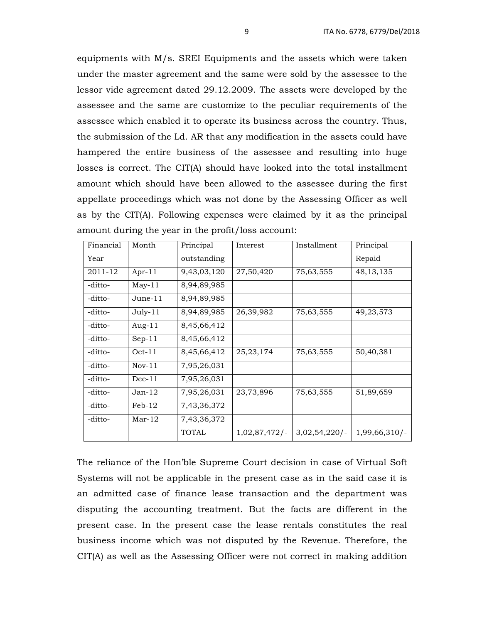equipments with M/s. SREI Equipments and the assets which were taken under the master agreement and the same were sold by the assessee to the lessor vide agreement dated 29.12.2009. The assets were developed by the assessee and the same are customize to the peculiar requirements of the assessee which enabled it to operate its business across the country. Thus, the submission of the Ld. AR that any modification in the assets could have hampered the entire business of the assessee and resulting into huge losses is correct. The CIT(A) should have looked into the total installment amount which should have been allowed to the assessee during the first appellate proceedings which was not done by the Assessing Officer as well as by the CIT(A). Following expenses were claimed by it as the principal amount during the year in the profit/loss account:

| Financial | Month     | Principal    | Interest        | Installment  | Principal       |
|-----------|-----------|--------------|-----------------|--------------|-----------------|
| Year      |           | outstanding  |                 |              | Repaid          |
| 2011-12   | Apr- $11$ | 9,43,03,120  | 27,50,420       | 75,63,555    | 48, 13, 135     |
| -ditto-   | $May-11$  | 8,94,89,985  |                 |              |                 |
| -ditto-   | June-11   | 8,94,89,985  |                 |              |                 |
| -ditto-   | $July-11$ | 8,94,89,985  | 26,39,982       | 75,63,555    | 49, 23, 573     |
| -ditto-   | Aug- $11$ | 8,45,66,412  |                 |              |                 |
| -ditto-   | $Sep-11$  | 8,45,66,412  |                 |              |                 |
| -ditto-   | $Oct-11$  | 8,45,66,412  | 25, 23, 174     | 75,63,555    | 50,40,381       |
| -ditto-   | $Nov-11$  | 7,95,26,031  |                 |              |                 |
| -ditto-   | $Dec-11$  | 7,95,26,031  |                 |              |                 |
| -ditto-   | $Jan-12$  | 7,95,26,031  | 23,73,896       | 75,63,555    | 51,89,659       |
| -ditto-   | $Feb-12$  | 7,43,36,372  |                 |              |                 |
| -ditto-   | $Mar-12$  | 7,43,36,372  |                 |              |                 |
|           |           | <b>TOTAL</b> | $1,02,87,472/-$ | 3,02,54,220/ | $1,99,66,310/-$ |

The reliance of the Hon'ble Supreme Court decision in case of Virtual Soft Systems will not be applicable in the present case as in the said case it is an admitted case of finance lease transaction and the department was disputing the accounting treatment. But the facts are different in the present case. In the present case the lease rentals constitutes the real business income which was not disputed by the Revenue. Therefore, the CIT(A) as well as the Assessing Officer were not correct in making addition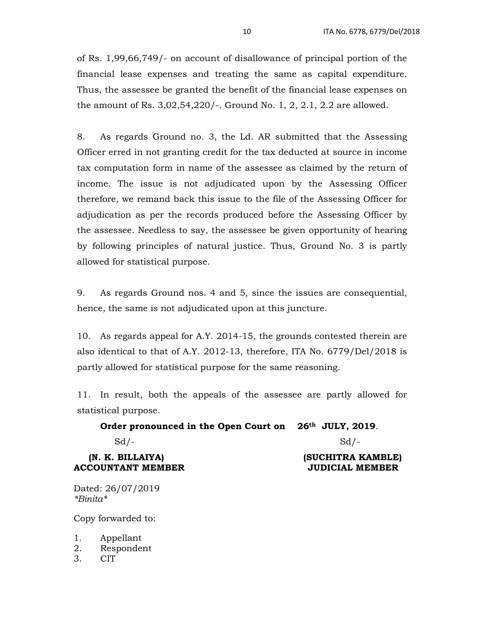of Rs. 1,99,66,749/- on account of disallowance of principal portion of the financial lease expenses and treating the same as capital expenditure. Thus, the assessee be granted the benefit of the financial lease expenses on the amount of Rs. 3,02,54,220/-. Ground No. 1, 2, 2.1, 2.2 are allowed.

8. As regards Ground no. 3, the Ld. AR submitted that the Assessing Officer erred in not granting credit for the tax deducted at source in income tax computation form in name of the assessee as claimed by the return of income. The issue is not adjudicated upon by the Assessing Officer therefore, we remand back this issue to the file of the Assessing Officer for adjudication as per the records produced before the Assessing Officer by the assessee. Needless to say, the assessee be given opportunity of hearing by following principles of natural justice. Thus, Ground No. 3 is partly allowed for statistical purpose.

9. As regards Ground nos. 4 and 5, since the issues are consequential, hence, the same is not adjudicated upon at this juncture.

10. As regards appeal for A.Y. 2014-15, the grounds contested therein are also identical to that of A.Y. 2012-13, therefore, ITA No. 6779/Del/2018 is partly allowed for statistical purpose for the same reasoning.

11. In result, both the appeals of the assessee are partly allowed for statistical purpose.

### **Order pronounced in the Open Court on 26th JULY, 2019**.

 $Sd$  /-  $Sd$  /-

#### **(N. K. BILLAIYA) (SUCHITRA KAMBLE) ACCOUNTANT MEMBER JUDICIAL MEMBER**

Dated: 26/07/2019 *\*Binita\** 

Copy forwarded to:

1. Appellant

- 2. Respondent
- 3. CIT